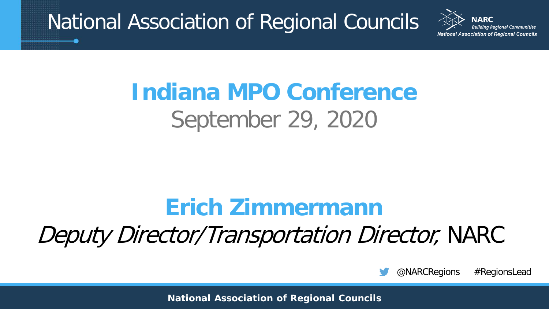National Association of Regional Councils

**Association of Regional Councils** 

# **Indiana MPO Conference** September 29, 2020

### **Erich Zimmermann**

Deputy Director/Transportation Director, NARC

@NARCRegions #RegionsLead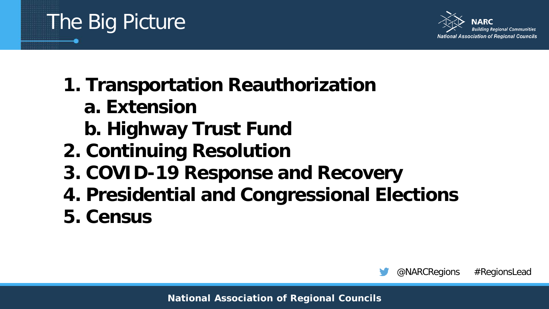

**a. Extension**

The Big Picture

- **b. Highway Trust Fund**
- **2. Continuing Resolution**
- **3. COVID-19 Response and Recovery**
- **4. Presidential and Congressional Elections**
- **5. Census**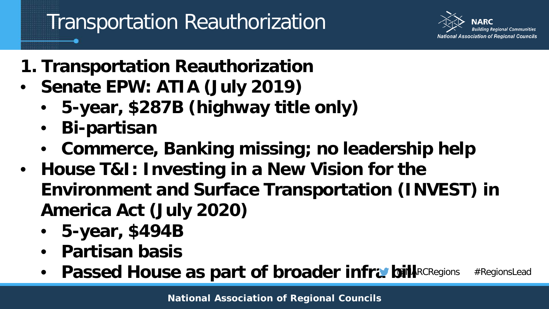

- **1. Transportation Reauthorization**
- **Senate EPW: ATIA (July 2019)**
	- **5-year, \$287B (highway title only)**
	- **Bi-partisan**
	- **Commerce, Banking missing; no leadership help**
- **House T&I: Investing in a New Vision for the Environment and Surface Transportation (INVEST) in America Act (July 2020)**
	- **5-year, \$494B**
	- **Partisan basis**
	- Passed House as part of broader infra bill **ARCRegions #RegionsLead**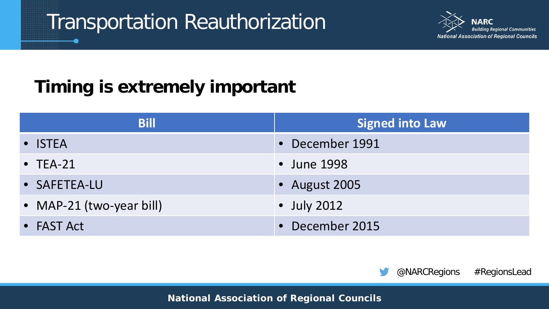

#### **Timing is extremely important**

| <b>Bill</b>              | <b>Signed into Law</b> |
|--------------------------|------------------------|
| • ISTEA                  | • December 1991        |
| $\bullet$ TEA-21         | • June 1998            |
| • SAFETEA-LU             | • August 2005          |
| • MAP-21 (two-year bill) | $\bullet$ July 2012    |
| • FAST Act               | • December 2015        |

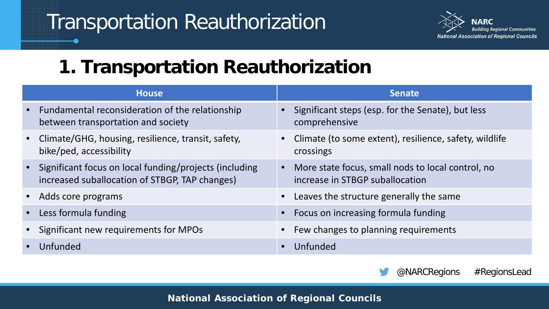**ARC** nal Communities **National Association of Regional Councils** 

#### **1. Transportation Reauthorization**

|           | <b>House</b>                                                                                               | <b>Senate</b>                                                                        |
|-----------|------------------------------------------------------------------------------------------------------------|--------------------------------------------------------------------------------------|
|           | • Fundamental reconsideration of the relationship<br>between transportation and society                    | • Significant steps (esp. for the Senate), but less<br>comprehensive                 |
|           | • Climate/GHG, housing, resilience, transit, safety,<br>bike/ped, accessibility                            | • Climate (to some extent), resilience, safety, wildlife<br>crossings                |
|           | • Significant focus on local funding/projects (including<br>increased suballocation of STBGP, TAP changes) | More state focus, small nods to local control, no<br>increase in STBGP suballocation |
|           | • Adds core programs                                                                                       | Leaves the structure generally the same                                              |
| $\bullet$ | Less formula funding                                                                                       | Focus on increasing formula funding                                                  |
|           | • Significant new requirements for MPOs                                                                    | Few changes to planning requirements                                                 |
|           | Unfunded                                                                                                   | Unfunded                                                                             |

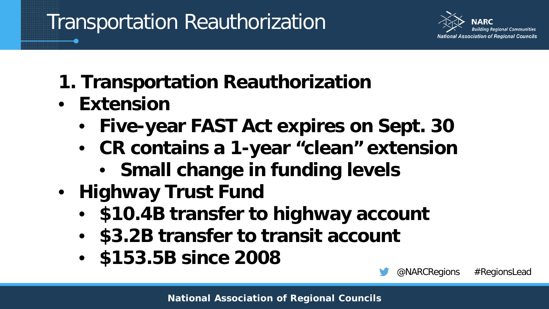

- **1. Transportation Reauthorization**
- **Extension**
	- **Five-year FAST Act expires on Sept. 30**
	- **CR contains a 1-year "clean" extension**
		- **Small change in funding levels**
- **Highway Trust Fund**
	- **\$10.4B transfer to highway account**
	- **\$3.2B transfer to transit account**
	- **\$153.5B since 2008**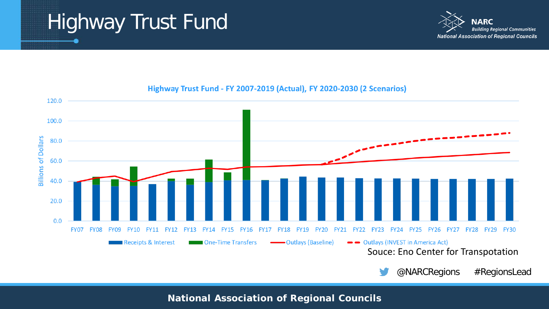# Highway Trust Fund





#### Highway Trust Fund - FY 2007-2019 (Actual), FY 2020-2030 (2 Scenarios)

@NARCRegions #RegionsLead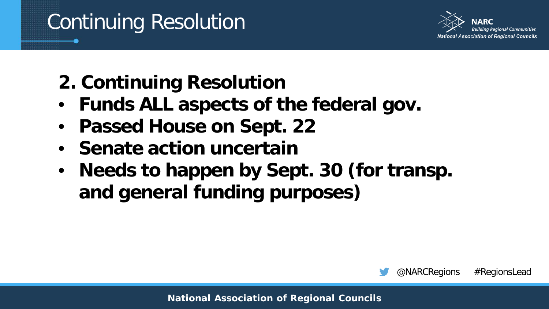# Continuing Resolution



- **2. Continuing Resolution**
- **Funds ALL aspects of the federal gov.**
- **Passed House on Sept. 22**
- **Senate action uncertain**
- **Needs to happen by Sept. 30 (for transp. and general funding purposes)**

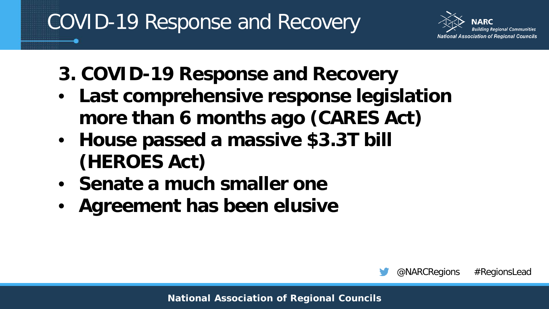# COVID-19 Response and Recovery

Association of Regional Councils

- **3. COVID-19 Response and Recovery**
- **Last comprehensive response legislation more than 6 months ago (CARES Act)**
- **House passed a massive \$3.3T bill (HEROES Act)**
- **Senate a much smaller one**
- **Agreement has been elusive**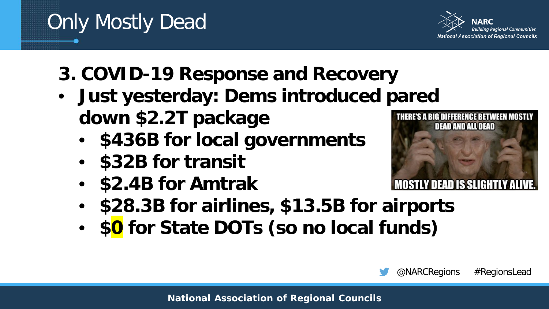#### **National Association of Regional Councils**

Only Mostly Dead

- **3. COVID-19 Response and Recovery**
- **Just yesterday: Dems introduced pared down \$2.2T package**
	- **\$436B for local governments**
	- **\$32B for transit**
	- **\$2.4B for Amtrak**
	- **\$28.3B for airlines, \$13.5B for airports**
	- **\$0 for State DOTs (so no local funds)**





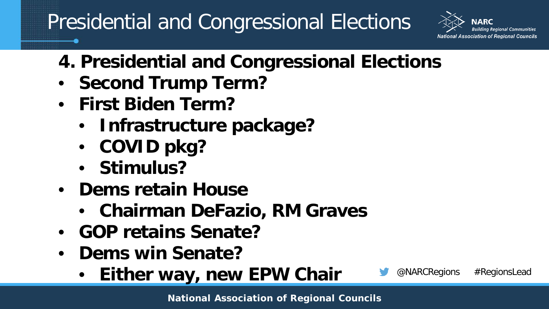## Presidential and Congressional Elections



- **4. Presidential and Congressional Elections**
- **Second Trump Term?**
- **First Biden Term?**
	- **Infrastructure package?**
	- **COVID pkg?**
	- **Stimulus?**
- **Dems retain House**
	- **Chairman DeFazio, RM Graves**
- **GOP retains Senate?**
- **Dems win Senate?**
	- **Either way, new EPW Chair**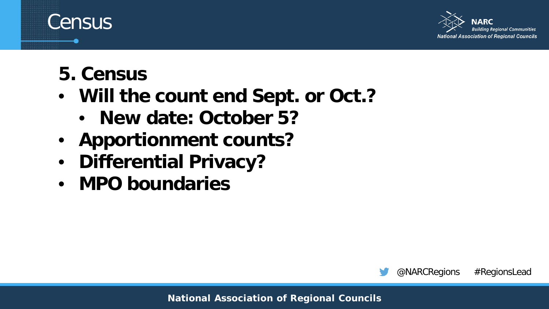

**5. Census**

**Census** 

- **Will the count end Sept. or Oct.?**
	- **New date: October 5?**
- **Apportionment counts?**
- **Differential Privacy?**
- **MPO boundaries**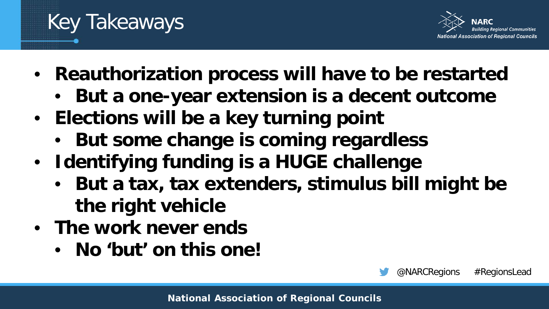

@NARCRegions #RegionsLead

- **Reauthorization process will have to be restarted**
	- **But a one-year extension is a decent outcome**
- **Elections will be a key turning point**
	- **But some change is coming regardless**
- **Identifying funding is a HUGE challenge**
	- **But a tax, tax extenders, stimulus bill might be the right vehicle**
- **The work never ends**

Key Takeaways

• **No 'but' on this one!**